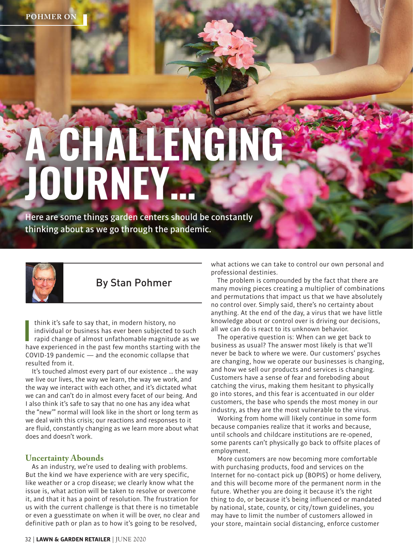# **A CHALLENGING JOURNEY…**

Here are some things garden centers should be constantly thinking about as we go through the pandemic.



# By Stan Pohmer

I think it's safe to say that, in modern history, no<br>individual or business has ever been subjected to such<br>rapid change of almost unfathomable magnitude as we<br>have experienced in the past few months starting with the think it's safe to say that, in modern history, no individual or business has ever been subjected to such rapid change of almost unfathomable magnitude as we COVID-19 pandemic — and the economic collapse that resulted from it.

It's touched almost every part of our existence … the way we live our lives, the way we learn, the way we work, and the way we interact with each other, and it's dictated what we can and can't do in almost every facet of our being. And I also think it's safe to say that no one has any idea what the "new'" normal will look like in the short or long term as we deal with this crisis; our reactions and responses to it are fluid, constantly changing as we learn more about what does and doesn't work.

#### **Uncertainty Abounds**

As an industry, we're used to dealing with problems. But the kind we have experience with are very specific, like weather or a crop disease; we clearly know what the issue is, what action will be taken to resolve or overcome it, and that it has a point of resolution. The frustration for us with the current challenge is that there is no timetable or even a guesstimate on when it will be over, no clear and definitive path or plan as to how it's going to be resolved,

what actions we can take to control our own personal and professional destinies.

The problem is compounded by the fact that there are many moving pieces creating a multiplier of combinations and permutations that impact us that we have absolutely no control over. Simply said, there's no certainty about anything. At the end of the day, a virus that we have little knowledge about or control over is driving our decisions, all we can do is react to its unknown behavior.

The operative question is: When can we get back to business as usual? The answer most likely is that we'll never be back to where we were. Our customers' psyches are changing, how we operate our businesses is changing, and how we sell our products and services is changing. Customers have a sense of fear and foreboding about catching the virus, making them hesitant to physically go into stores, and this fear is accentuated in our older customers, the base who spends the most money in our industry, as they are the most vulnerable to the virus.

Working from home will likely continue in some form because companies realize that it works and because, until schools and childcare institutions are re-opened, some parents can't physically go back to offsite places of employment.

More customers are now becoming more comfortable with purchasing products, food and services on the Internet for no-contact pick up (BOPIS) or home delivery, and this will become more of the permanent norm in the future. Whether you are doing it because it's the right thing to do, or because it's being influenced or mandated by national, state, county, or city/town guidelines, you may have to limit the number of customers allowed in your store, maintain social distancing, enforce customer